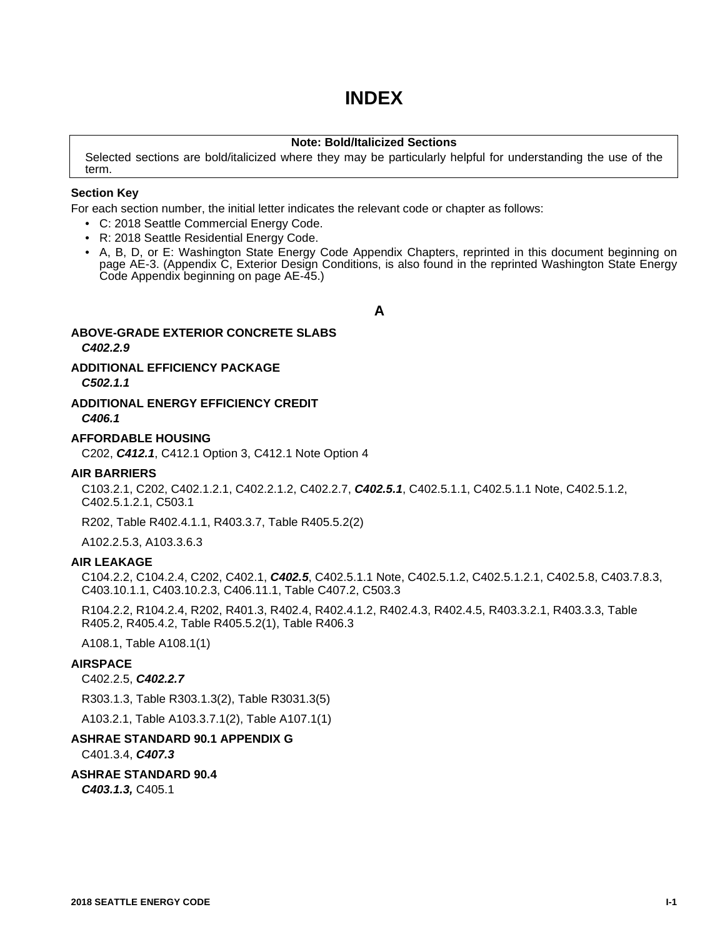# **INDEX**

# **Note: Bold/Italicized Sections**

Selected sections are bold/italicized where they may be particularly helpful for understanding the use of the term.

### **Section Key**

For each section number, the initial letter indicates the relevant code or chapter as follows:

- C: 2018 Seattle Commercial Energy Code.
- R: 2018 Seattle Residential Energy Code.
- A, B, D, or E: Washington State Energy Code Appendix Chapters, reprinted in this document beginning on page AE-3. (Appendix C, Exterior Design Conditions, is also found in the reprinted Washington State Energy Code Appendix beginning on page AE-45.)

**A**

# **ABOVE-GRADE EXTERIOR CONCRETE SLABS** *C402.2.9*

# **ADDITIONAL EFFICIENCY PACKAGE**

*C502.1.1*

# **ADDITIONAL ENERGY EFFICIENCY CREDIT** *C406.1*

# **AFFORDABLE HOUSING**

C202, *C412.1*, C412.1 Option 3, C412.1 Note Option 4

### **AIR BARRIERS**

C103.2.1, C202, C402.1.2.1, C402.2.1.2, C402.2.7, *C402.5.1*, C402.5.1.1, C402.5.1.1 Note, C402.5.1.2, C402.5.1.2.1, C503.1

R202, Table R402.4.1.1, R403.3.7, Table R405.5.2(2)

A102.2.5.3, A103.3.6.3

# **AIR LEAKAGE**

C104.2.2, C104.2.4, C202, C402.1, *C402.5*, C402.5.1.1 Note, C402.5.1.2, C402.5.1.2.1, C402.5.8, C403.7.8.3, C403.10.1.1, C403.10.2.3, C406.11.1, Table C407.2, C503.3

R104.2.2, R104.2.4, R202, R401.3, R402.4, R402.4.1.2, R402.4.3, R402.4.5, R403.3.2.1, R403.3.3, Table R405.2, R405.4.2, Table R405.5.2(1), Table R406.3

A108.1, Table A108.1(1)

# **AIRSPACE**

#### C402.2.5, *C402.2.7*

R303.1.3, Table R303.1.3(2), Table R3031.3(5)

A103.2.1, Table A103.3.7.1(2), Table A107.1(1)

# **ASHRAE STANDARD 90.1 APPENDIX G**

C401.3.4, *C407.3*

# **ASHRAE STANDARD 90.4**

*C403.1.3,* C405.1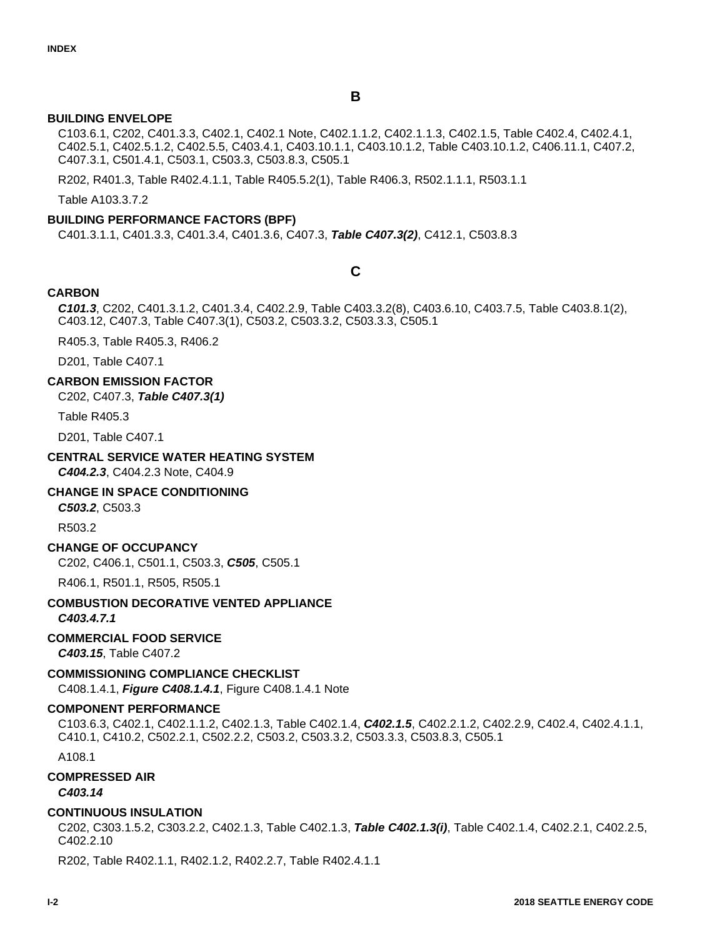# **BUILDING ENVELOPE**

C103.6.1, C202, C401.3.3, C402.1, C402.1 Note, C402.1.1.2, C402.1.1.3, C402.1.5, Table C402.4, C402.4.1, C402.5.1, C402.5.1.2, C402.5.5, C403.4.1, C403.10.1.1, C403.10.1.2, Table C403.10.1.2, C406.11.1, C407.2, C407.3.1, C501.4.1, C503.1, C503.3, C503.8.3, C505.1

R202, R401.3, Table R402.4.1.1, Table R405.5.2(1), Table R406.3, R502.1.1.1, R503.1.1

Table A103.3.7.2

# **BUILDING PERFORMANCE FACTORS (BPF)**

C401.3.1.1, C401.3.3, C401.3.4, C401.3.6, C407.3, *Table C407.3(2)*, C412.1, C503.8.3

# **C**

# **CARBON**

*C101.3*, C202, C401.3.1.2, C401.3.4, C402.2.9, Table C403.3.2(8), C403.6.10, C403.7.5, Table C403.8.1(2), C403.12, C407.3, Table C407.3(1), C503.2, C503.3.2, C503.3.3, C505.1

R405.3, Table R405.3, R406.2

D201, Table C407.1

#### **CARBON EMISSION FACTOR**

C202, C407.3, *Table C407.3(1)*

Table R405.3

D201, Table C407.1

#### **CENTRAL SERVICE WATER HEATING SYSTEM**

*C404.2.3*, C404.2.3 Note, C404.9

#### **CHANGE IN SPACE CONDITIONING**

*C503.2*, C503.3

R503.2

#### **CHANGE OF OCCUPANCY**

C202, C406.1, C501.1, C503.3, *C505*, C505.1

R406.1, R501.1, R505, R505.1

# **COMBUSTION DECORATIVE VENTED APPLIANCE**

*C403.4.7.1*

# **COMMERCIAL FOOD SERVICE**

*C403.15*, Table C407.2

#### **COMMISSIONING COMPLIANCE CHECKLIST**

C408.1.4.1, *Figure C408.1.4.1*, Figure C408.1.4.1 Note

#### **COMPONENT PERFORMANCE**

C103.6.3, C402.1, C402.1.1.2, C402.1.3, Table C402.1.4, *C402.1.5*, C402.2.1.2, C402.2.9, C402.4, C402.4.1.1, C410.1, C410.2, C502.2.1, C502.2.2, C503.2, C503.3.2, C503.3.3, C503.8.3, C505.1

A108.1

#### **COMPRESSED AIR**

*C403.14*

#### **CONTINUOUS INSULATION**

C202, C303.1.5.2, C303.2.2, C402.1.3, Table C402.1.3, *Table C402.1.3(i)*, Table C402.1.4, C402.2.1, C402.2.5, C402.2.10

R202, Table R402.1.1, R402.1.2, R402.2.7, Table R402.4.1.1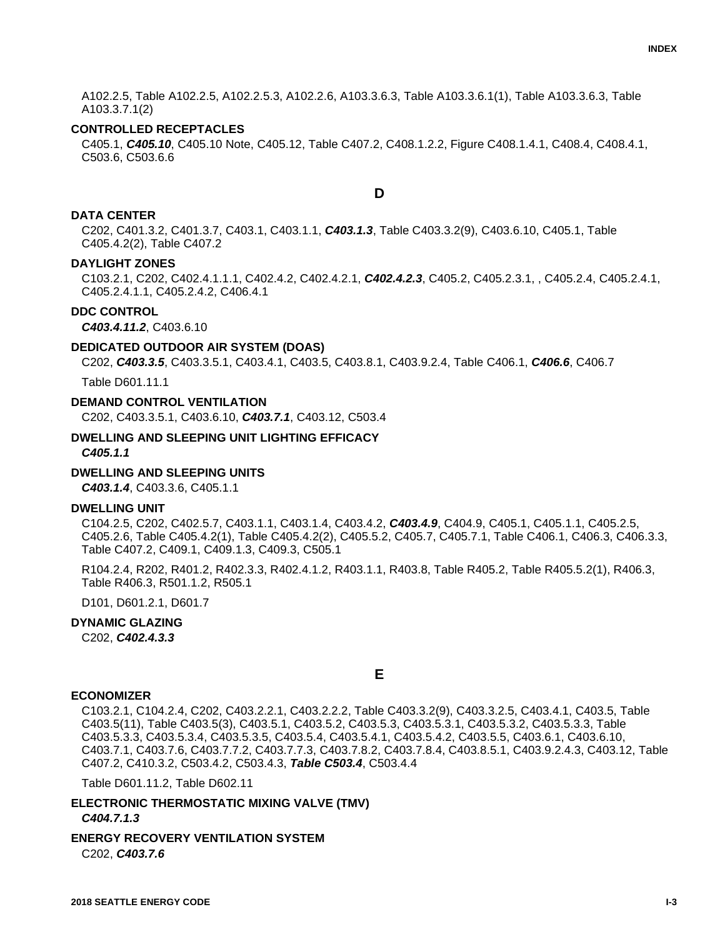A102.2.5, Table A102.2.5, A102.2.5.3, A102.2.6, A103.3.6.3, Table A103.3.6.1(1), Table A103.3.6.3, Table A103.3.7.1(2)

#### **CONTROLLED RECEPTACLES**

C405.1, *C405.10*, C405.10 Note, C405.12, Table C407.2, C408.1.2.2, Figure C408.1.4.1, C408.4, C408.4.1, C503.6, C503.6.6

**D**

#### **DATA CENTER**

C202, C401.3.2, C401.3.7, C403.1, C403.1.1, *C403.1.3*, Table C403.3.2(9), C403.6.10, C405.1, Table C405.4.2(2), Table C407.2

#### **DAYLIGHT ZONES**

C103.2.1, C202, C402.4.1.1.1, C402.4.2, C402.4.2.1, *C402.4.2.3*, C405.2, C405.2.3.1, , C405.2.4, C405.2.4.1, C405.2.4.1.1, C405.2.4.2, C406.4.1

#### **DDC CONTROL**

*C403.4.11.2*, C403.6.10

#### **DEDICATED OUTDOOR AIR SYSTEM (DOAS)**

C202, *C403.3.5*, C403.3.5.1, C403.4.1, C403.5, C403.8.1, C403.9.2.4, Table C406.1, *C406.6*, C406.7

Table D601.11.1

# **DEMAND CONTROL VENTILATION**

C202, C403.3.5.1, C403.6.10, *C403.7.1*, C403.12, C503.4

# **DWELLING AND SLEEPING UNIT LIGHTING EFFICACY**

*C405.1.1*

## **DWELLING AND SLEEPING UNITS**

*C403.1.4*, C403.3.6, C405.1.1

#### **DWELLING UNIT**

C104.2.5, C202, C402.5.7, C403.1.1, C403.1.4, C403.4.2, *C403.4.9*, C404.9, C405.1, C405.1.1, C405.2.5, C405.2.6, Table C405.4.2(1), Table C405.4.2(2), C405.5.2, C405.7, C405.7.1, Table C406.1, C406.3, C406.3.3, Table C407.2, C409.1, C409.1.3, C409.3, C505.1

R104.2.4, R202, R401.2, R402.3.3, R402.4.1.2, R403.1.1, R403.8, Table R405.2, Table R405.5.2(1), R406.3, Table R406.3, R501.1.2, R505.1

D101, D601.2.1, D601.7

# **DYNAMIC GLAZING**

C202, *C402.4.3.3*

**E**

#### **ECONOMIZER**

C103.2.1, C104.2.4, C202, C403.2.2.1, C403.2.2.2, Table C403.3.2(9), C403.3.2.5, C403.4.1, C403.5, Table C403.5(11), Table C403.5(3), C403.5.1, C403.5.2, C403.5.3, C403.5.3.1, C403.5.3.2, C403.5.3.3, Table C403.5.3.3, C403.5.3.4, C403.5.3.5, C403.5.4, C403.5.4.1, C403.5.4.2, C403.5.5, C403.6.1, C403.6.10, C403.7.1, C403.7.6, C403.7.7.2, C403.7.7.3, C403.7.8.2, C403.7.8.4, C403.8.5.1, C403.9.2.4.3, C403.12, Table C407.2, C410.3.2, C503.4.2, C503.4.3, *Table C503.4*, C503.4.4

Table D601.11.2, Table D602.11

**ELECTRONIC THERMOSTATIC MIXING VALVE (TMV)** *C404.7.1.3*

**ENERGY RECOVERY VENTILATION SYSTEM** C202, *C403.7.6*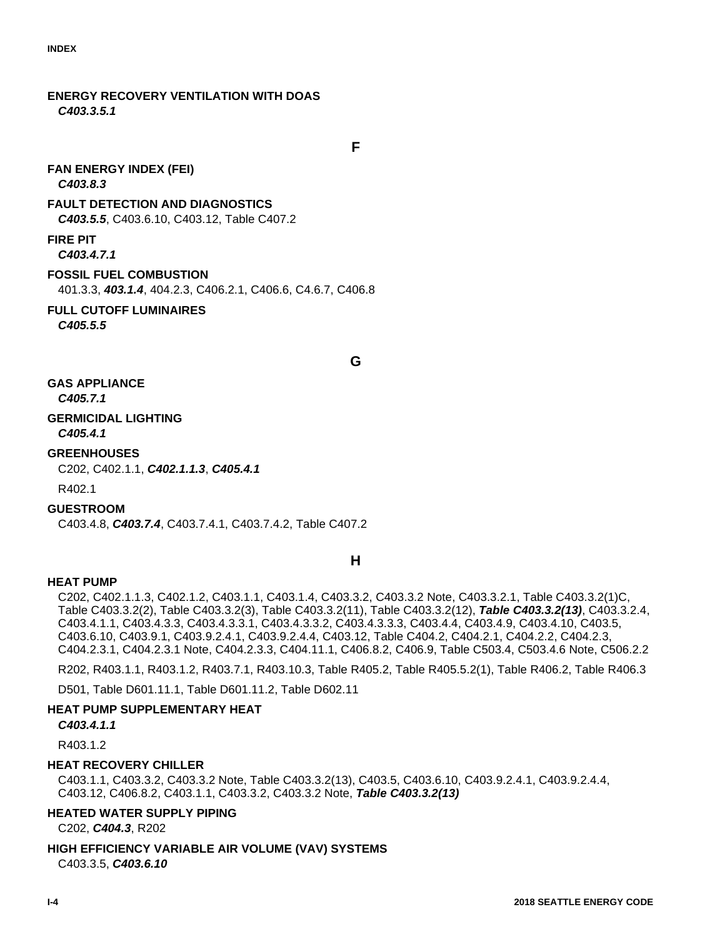**ENERGY RECOVERY VENTILATION WITH DOAS** *C403.3.5.1*

**F**

### **FAN ENERGY INDEX (FEI)** *C403.8.3*

# **FAULT DETECTION AND DIAGNOSTICS**

*C403.5.5*, C403.6.10, C403.12, Table C407.2

# **FIRE PIT**

*C403.4.7.1*

# **FOSSIL FUEL COMBUSTION**

401.3.3, *403.1.4*, 404.2.3, C406.2.1, C406.6, C4.6.7, C406.8

# **FULL CUTOFF LUMINAIRES**

*C405.5.5*

**G**

# **GAS APPLIANCE**

*C405.7.1*

#### **GERMICIDAL LIGHTING** *C405.4.1*

# **GREENHOUSES**

C202, C402.1.1, *C402.1.1.3*, *C405.4.1*

#### R402.1

# **GUESTROOM**

C403.4.8, *C403.7.4*, C403.7.4.1, C403.7.4.2, Table C407.2

# **H**

# **HEAT PUMP**

C202, C402.1.1.3, C402.1.2, C403.1.1, C403.1.4, C403.3.2, C403.3.2 Note, C403.3.2.1, Table C403.3.2(1)C, Table C403.3.2(2), Table C403.3.2(3), Table C403.3.2(11), Table C403.3.2(12), *Table C403.3.2(13)*, C403.3.2.4, C403.4.1.1, C403.4.3.3, C403.4.3.3.1, C403.4.3.3.2, C403.4.3.3.3, C403.4.4, C403.4.9, C403.4.10, C403.5, C403.6.10, C403.9.1, C403.9.2.4.1, C403.9.2.4.4, C403.12, Table C404.2, C404.2.1, C404.2.2, C404.2.3, C404.2.3.1, C404.2.3.1 Note, C404.2.3.3, C404.11.1, C406.8.2, C406.9, Table C503.4, C503.4.6 Note, C506.2.2

R202, R403.1.1, R403.1.2, R403.7.1, R403.10.3, Table R405.2, Table R405.5.2(1), Table R406.2, Table R406.3

D501, Table D601.11.1, Table D601.11.2, Table D602.11

# **HEAT PUMP SUPPLEMENTARY HEAT**

*C403.4.1.1*

R40312

# **HEAT RECOVERY CHILLER**

C403.1.1, C403.3.2, C403.3.2 Note, Table C403.3.2(13), C403.5, C403.6.10, C403.9.2.4.1, C403.9.2.4.4, C403.12, C406.8.2, C403.1.1, C403.3.2, C403.3.2 Note, *Table C403.3.2(13)*

# **HEATED WATER SUPPLY PIPING**

C202, *C404.3*, R202

# **HIGH EFFICIENCY VARIABLE AIR VOLUME (VAV) SYSTEMS**

C403.3.5, *C403.6.10*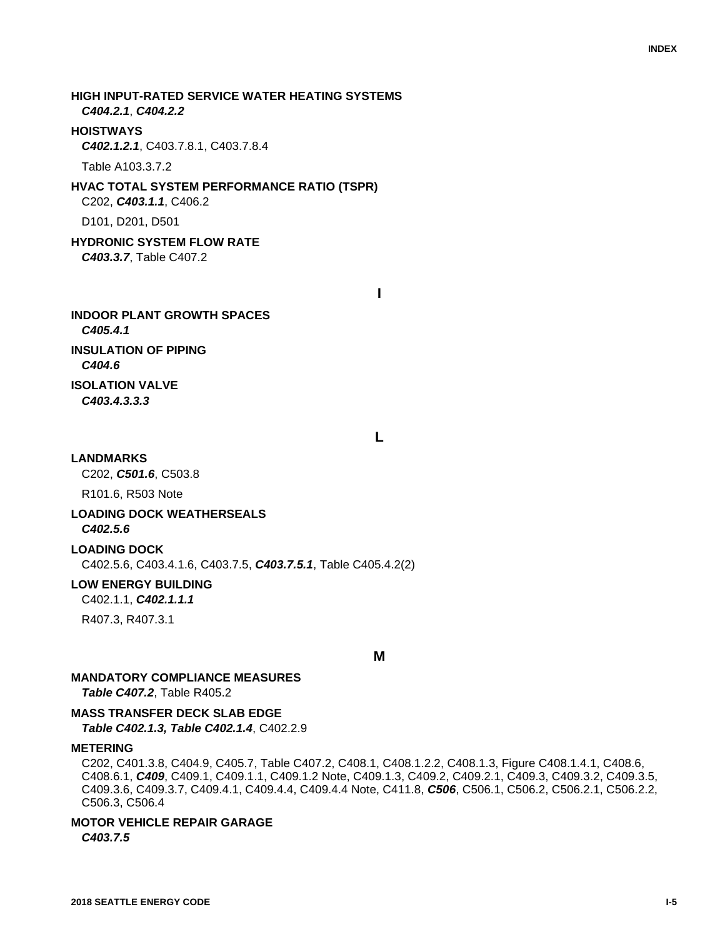**HIGH INPUT-RATED SERVICE WATER HEATING SYSTEMS** *C404.2.1*, *C404.2.2* **HOISTWAYS**

*C402.1.2.1*, C403.7.8.1, C403.7.8.4

Table A103.3.7.2

# **HVAC TOTAL SYSTEM PERFORMANCE RATIO (TSPR)** C202, *C403.1.1*, C406.2

D101, D201, D501

**HYDRONIC SYSTEM FLOW RATE** *C403.3.7*, Table C407.2

**I**

**INDOOR PLANT GROWTH SPACES** *C405.4.1* **INSULATION OF PIPING** *C404.6* **ISOLATION VALVE** *C403.4.3.3.3*

**L**

#### **LANDMARKS**

C202, *C501.6*, C503.8

R101.6, R503 Note

# **LOADING DOCK WEATHERSEALS**

*C402.5.6*

# **LOADING DOCK**

C402.5.6, C403.4.1.6, C403.7.5, *C403.7.5.1*, Table C405.4.2(2)

### **LOW ENERGY BUILDING**

C402.1.1, *C402.1.1.1*

R407.3, R407.3.1

**M**

# **MANDATORY COMPLIANCE MEASURES**

*Table C407.2*, Table R405.2

# **MASS TRANSFER DECK SLAB EDGE**

*Table C402.1.3, Table C402.1.4*, C402.2.9

# **METERING**

C202, C401.3.8, C404.9, C405.7, Table C407.2, C408.1, C408.1.2.2, C408.1.3, Figure C408.1.4.1, C408.6, C408.6.1, *C409*, C409.1, C409.1.1, C409.1.2 Note, C409.1.3, C409.2, C409.2.1, C409.3, C409.3.2, C409.3.5, C409.3.6, C409.3.7, C409.4.1, C409.4.4, C409.4.4 Note, C411.8, *C506*, C506.1, C506.2, C506.2.1, C506.2.2, C506.3, C506.4

#### **MOTOR VEHICLE REPAIR GARAGE** *C403.7.5*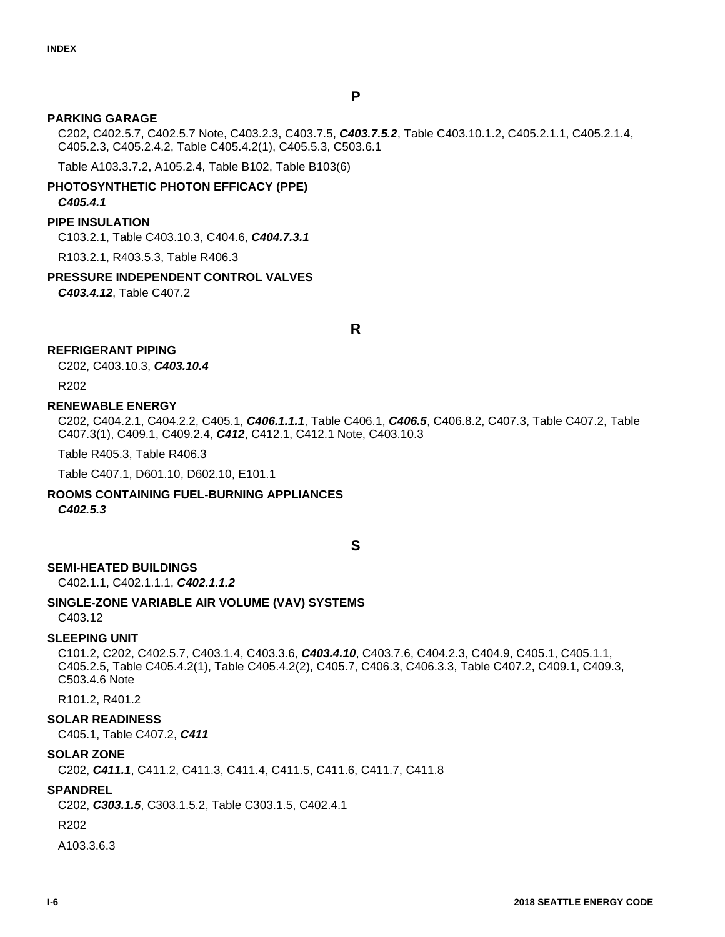# **P**

# **PARKING GARAGE**

C202, C402.5.7, C402.5.7 Note, C403.2.3, C403.7.5, *C403.7.5.2*, Table C403.10.1.2, C405.2.1.1, C405.2.1.4, C405.2.3, C405.2.4.2, Table C405.4.2(1), C405.5.3, C503.6.1

Table A103.3.7.2, A105.2.4, Table B102, Table B103(6)

# **PHOTOSYNTHETIC PHOTON EFFICACY (PPE)** *C405.4.1*

## **PIPE INSULATION**

C103.2.1, Table C403.10.3, C404.6, *C404.7.3.1*

R103.2.1, R403.5.3, Table R406.3

## **PRESSURE INDEPENDENT CONTROL VALVES**

*C403.4.12*, Table C407.2

**R**

# **REFRIGERANT PIPING**

C202, C403.10.3, *C403.10.4*

R202

## **RENEWABLE ENERGY**

C202, C404.2.1, C404.2.2, C405.1, *C406.1.1.1*, Table C406.1, *C406.5*, C406.8.2, C407.3, Table C407.2, Table C407.3(1), C409.1, C409.2.4, *C412*, C412.1, C412.1 Note, C403.10.3

Table R405.3, Table R406.3

Table C407.1, D601.10, D602.10, E101.1

# **ROOMS CONTAINING FUEL-BURNING APPLIANCES**

*C402.5.3*

## **S**

#### **SEMI-HEATED BUILDINGS**

C402.1.1, C402.1.1.1, *C402.1.1.2*

# **SINGLE-ZONE VARIABLE AIR VOLUME (VAV) SYSTEMS**

C403.12

#### **SLEEPING UNIT**

C101.2, C202, C402.5.7, C403.1.4, C403.3.6, *C403.4.10*, C403.7.6, C404.2.3, C404.9, C405.1, C405.1.1, C405.2.5, Table C405.4.2(1), Table C405.4.2(2), C405.7, C406.3, C406.3.3, Table C407.2, C409.1, C409.3, C503.4.6 Note

R101.2, R401.2

#### **SOLAR READINESS**

C405.1, Table C407.2, *C411*

#### **SOLAR ZONE**

C202, *C411.1*, C411.2, C411.3, C411.4, C411.5, C411.6, C411.7, C411.8

#### **SPANDREL**

C202, *C303.1.5*, C303.1.5.2, Table C303.1.5, C402.4.1

R202

A103.3.6.3